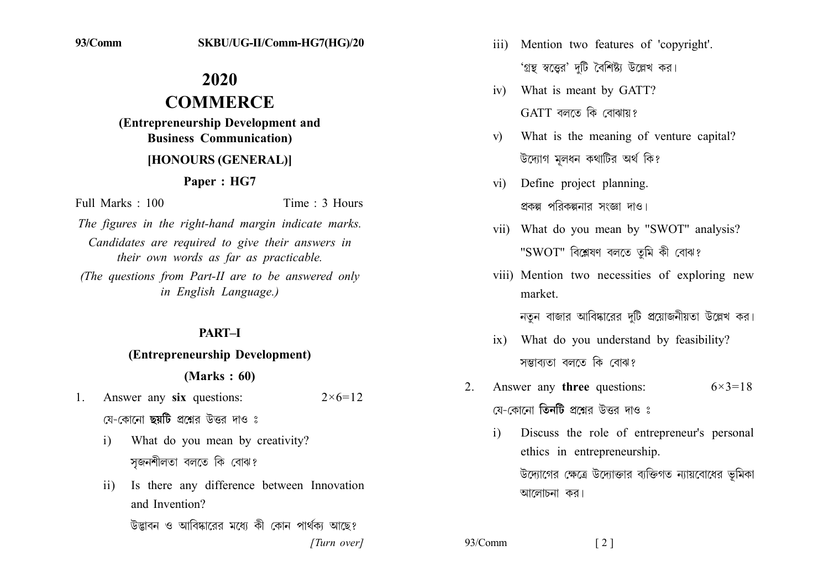# 2020 **COMMERCE** (Entrepreneurship Development and **Business Communication)** [HONOURS (GENERAL)]

## Paper: HG7

Full Marks : 100

Time  $\cdot$  3 Hours

The figures in the right-hand margin indicate marks. Candidates are required to give their answers in their own words as far as practicable. (The questions from Part-II are to be answered only

in English Language.)

## PART-I

#### (Entrepreneurship Development)

#### $(Marks: 60)$

- Answer any six questions:  $2 \times 6 = 12$  $1_{\cdot}$ 
	- যে-কোনো **ছয়টি** প্রশ্নের উত্তর দাও ঃ
	- What do you mean by creativity?  $\mathbf{i}$ সজনশীলতা বলতে কি বোঝ?
	- Is there any difference between Innovation  $\mathbf{ii}$ and Invention? উদ্ভাবন ও আবিষ্কারের মধ্যে কী কোন পার্থকা আছে?

[Turn over]

- iii) Mention two features of 'copyright'. 'গ্রন্থ স্বত্তের' দটি বৈশিষ্ট্য উল্লেখ কর।
- iv) What is meant by GATT?  $GATT$  বলতে কি বোঝায়?
- What is the meaning of venture capital?  $\mathbf{v}$ উদ্যোগ মলধন কথাটির অর্থ কি?
- Define project planning.  $\overline{vi}$ প্রকল্প পরিকল্পনার সংজ্ঞা দাও।
- vii) What do you mean by "SWOT" analysis? "SWOT" বিশ্লেষণ বলতে তমি কী বোঝ?
- viii) Mention two necessities of exploring new market.

নতন বাজার আবিষ্কারের দটি প্রয়োজনীয়তা উল্লেখ কর।

- ix) What do you understand by feasibility? সম্ভাব্যতা বলতে কি বোঝ?
- Answer any **three** questions:  $2^{\circ}$  $6 \times 3 = 18$ য়ে-কোনো **তিনটি** প্রশ্নের উত্তর দাও ঃ
	- Discuss the role of entrepreneur's personal  $\mathbf{i}$ ethics in entrepreneurship. উদ্যোগের ক্ষেত্রে উদ্যোক্তার ব্যক্তিগত ন্যায়বোধের ভূমিকা আলোচনা কর।

93/Comm  $\lceil 2 \rceil$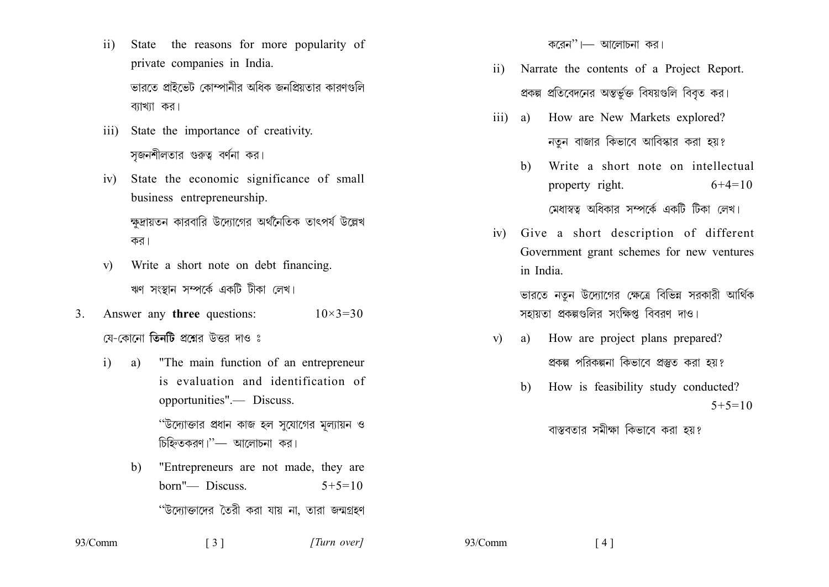- State the reasons for more popularity of  $\overline{11}$ private companies in India. ভাবতে প্ৰাইভেট কোম্পানীৰ অধিক জনপ্ৰিয়তাৰ কাৰণগুলি ব্যাখ্যা কর।
- State the importance of creativity.  $\overline{111}$ সজনশীলতার গুরুত্ব বর্ণনা কর।
- State the economic significance of small  $iv)$ business entrepreneurship. ক্ষদ্রায়তন কারবারি উদ্যোগের অর্থনৈতিক তাৎপর্য উল্লেখ কর।
- Write a short note on debt financing.  $V$ ) ঋণ সংস্থান সম্পর্কে একটি টীকা লেখ।
- Answer any **three** questions:  $10 \times 3 = 30$  $3<sub>1</sub>$ যে-কোনো **তিনটি** প্ৰশ্নেব উত্তব দাও ঃ
	- "The main function of an entrepreneur  $i)$ a) is evaluation and identification of opportunities".— Discuss. ''উদ্যোক্তার প্রধান কাজ হল সুযোগের মূল্যায়ন ও চিহ্নিতকরণ।"— আলোচনা কর।
		- "Entrepreneurs are not made, they are  $h)$ born"— Discuss.  $5+5=10$ ''উদ্যোক্তাদের তৈরী করা যায় না, তারা জন্মগ্রহণ

 $\lceil 3 \rceil$ 

করেন'' $\longmapsto$  আলোচনা কর।

- Narrate the contents of a Project Report.  $\overline{11}$ প্রকল্প প্রতিবেদনের অন্তর্ভুক্ত বিষয়গুলি বিবৃত কর।
- iii) a) How are New Markets explored? নতুন বাজার কিভাবে আবিস্কার করা হয়?
	- Write a short note on intellectual  $h$ ) property right.  $6+4=10$

মেধাস্বত্ব অধিকার সম্পর্কে একটি টিকা লেখ।

iv) Give a short description of different Government grant schemes for new ventures in India.

> ভারতে নতুন উদ্যোগের ক্ষেত্রে বিভিন্ন সরকারী আর্থিক সহায়তা প্রকল্পগুলির সংক্ষিপ্ত বিবরণ দাও।

- a) How are project plans prepared?  $V$ ) প্রকল্প পরিকল্পনা কিভাবে প্রস্তুত করা হয়?
	- How is feasibility study conducted?  $h$ )  $5+5=10$

বাস্তবতার সমীক্ষা কিভাবে করা হয়?